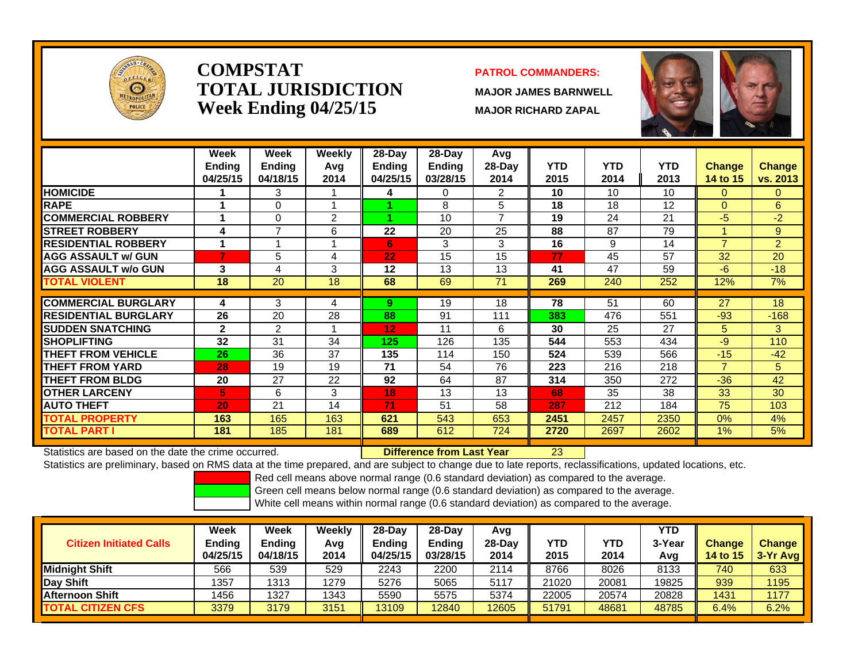

## **COMPSTATTOTAL JURISDICTIONWeek Ending 04/25/15 MAJOR RICHARD ZAPAL**

#### **PATROL COMMANDERS:**

**MAJOR JAMES BARNWELL**

23



|                             | Week<br><b>Ending</b><br>04/25/15 | Week<br><b>Ending</b><br>04/18/15 | Weekly<br>Avq<br>2014 | $28$ -Day<br><b>Ending</b><br>04/25/15 | $28$ -Day<br>Ending<br>03/28/15 | Avg<br>$28-Day$<br>2014 | <b>YTD</b><br>2015 | <b>YTD</b><br>2014 | <b>YTD</b><br>2013 | <b>Change</b><br>14 to 15 | <b>Change</b><br>vs. 2013 |
|-----------------------------|-----------------------------------|-----------------------------------|-----------------------|----------------------------------------|---------------------------------|-------------------------|--------------------|--------------------|--------------------|---------------------------|---------------------------|
| <b>HOMICIDE</b>             |                                   | 3                                 |                       | 4                                      | 0                               | 2                       | 10                 | 10                 | 10                 | $\Omega$                  | $\Omega$                  |
| <b>RAPE</b>                 |                                   | 0                                 |                       |                                        | 8                               | 5                       | 18                 | 18                 | 12                 | $\Omega$                  | 6                         |
| <b>COMMERCIAL ROBBERY</b>   |                                   | 0                                 | 2                     |                                        | 10                              | 7                       | 19                 | 24                 | 21                 | $-5$                      | $-2$                      |
| <b>ISTREET ROBBERY</b>      | 4                                 | 7                                 | 6                     | 22                                     | 20                              | 25                      | 88                 | 87                 | 79                 |                           | 9                         |
| <b>RESIDENTIAL ROBBERY</b>  | и                                 | и                                 |                       | 6                                      | 3                               | 3                       | 16                 | 9                  | 14                 | $\overline{7}$            | $\overline{2}$            |
| <b>AGG ASSAULT w/ GUN</b>   | 7                                 | 5                                 | 4                     | 22                                     | 15                              | 15                      | 77                 | 45                 | 57                 | 32                        | 20                        |
| <b>AGG ASSAULT w/o GUN</b>  | 3                                 | 4                                 | 3                     | 12                                     | 13                              | 13                      | 41                 | 47                 | 59                 | $-6$                      | $-18$                     |
| <b>TOTAL VIOLENT</b>        | 18                                | 20                                | 18                    | 68                                     | 69                              | 71                      | 269                | 240                | 252                | 12%                       | 7%                        |
| <b>COMMERCIAL BURGLARY</b>  | 4                                 | 3                                 | 4                     | 9                                      | 19                              | 18                      | 78                 | 51                 | 60                 | 27                        | 18                        |
|                             |                                   |                                   |                       |                                        |                                 |                         |                    |                    |                    |                           |                           |
| <b>RESIDENTIAL BURGLARY</b> | 26                                | 20                                | 28                    | 88                                     | 91                              | 111                     | 383                | 476                | 551                | $-93$                     | $-168$                    |
| <b>SUDDEN SNATCHING</b>     | $\mathbf{2}$                      | 2                                 |                       | 12                                     | 11                              | 6                       | 30                 | 25                 | 27                 | 5                         | 3                         |
| <b>SHOPLIFTING</b>          | 32                                | 31                                | 34                    | 125                                    | 126                             | 135                     | 544                | 553                | 434                | $-9$                      | 110                       |
| <b>THEFT FROM VEHICLE</b>   | 26                                | 36                                | 37                    | 135                                    | 114                             | 150                     | 524                | 539                | 566                | $-15$                     | $-42$                     |
| <b>THEFT FROM YARD</b>      | 28                                | 19                                | 19                    | 71                                     | 54                              | 76                      | 223                | 216                | 218                | $\overline{7}$            | 5                         |
| <b>THEFT FROM BLDG</b>      | 20                                | 27                                | 22                    | 92                                     | 64                              | 87                      | 314                | 350                | 272                | $-36$                     | 42                        |
| <b>IOTHER LARCENY</b>       | 5.                                | 6                                 | 3                     | 18                                     | 13                              | 13                      | 68                 | 35                 | 38                 | 33                        | 30                        |
| <b>AUTO THEFT</b>           | 20                                | 21                                | 14                    | 71                                     | 51                              | 58                      | 287                | 212                | 184                | 75                        | 103                       |
| <b>TOTAL PROPERTY</b>       | 163                               | 165                               | 163                   | 621                                    | 543                             | 653                     | 2451               | 2457               | 2350               | $0\%$                     | 4%                        |
| <b>TOTAL PART I</b>         | 181                               | 185                               | 181                   | 689                                    | 612                             | 724                     | 2720               | 2697               | 2602               | $1\%$                     | 5%                        |

Statistics are based on the date the crime occurred. **Difference from Last Year** 

Statistics are preliminary, based on RMS data at the time prepared, and are subject to change due to late reports, reclassifications, updated locations, etc.

Red cell means above normal range (0.6 standard deviation) as compared to the average.

Green cell means below normal range (0.6 standard deviation) as compared to the average.

| <b>Citizen Initiated Calls</b> | Week<br>Ending<br>04/25/15 | Week<br>Ending<br>04/18/15 | Weekly<br>Avg<br>2014 | 28-Dav<br>Ending<br>04/25/15 | $28-Dav$<br><b>Ending</b><br>03/28/15 | Avg<br>$28-Dav$<br>2014 | YTD<br>2015 | YTD<br>2014 | YTD<br>3-Year<br>Avg | <b>Change</b><br><b>14 to 15</b> | <b>Change</b><br>$3-Yr$ Avg |
|--------------------------------|----------------------------|----------------------------|-----------------------|------------------------------|---------------------------------------|-------------------------|-------------|-------------|----------------------|----------------------------------|-----------------------------|
| Midnight Shift                 | 566                        | 539                        | 529                   | 2243                         | 2200                                  | 2114                    | 8766        | 8026        | 8133                 | 740                              | 633                         |
| <b>Day Shift</b>               | 1357                       | 1313                       | 1279                  | 5276                         | 5065                                  | 5117                    | 21020       | 20081       | 19825                | 939                              | 1195                        |
| <b>Afternoon Shift</b>         | 1456                       | 1327                       | 1343                  | 5590                         | 5575                                  | 5374                    | 22005       | 20574       | 20828                | 1431                             | 1177                        |
| <b>TOTAL CITIZEN CFS</b>       | 3379                       | 3179                       | 3151                  | 13109                        | 12840                                 | 12605                   | 51791       | 48681       | 48785                | 6.4%                             | 6.2%                        |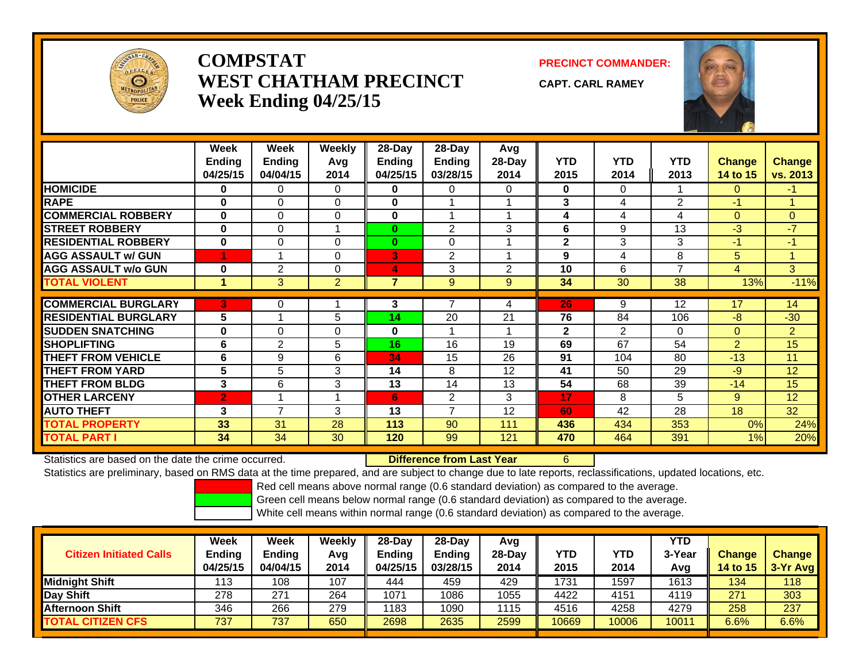

# **COMPSTATWEST CHATHAM PRECINCTWeek Ending 04/25/15**

**PRECINCT COMMANDER:**

**CAPT. CARL RAMEY**

6



|                             | Week<br><b>Ending</b><br>04/25/15 | Week<br>Ending<br>04/04/15 | Weekly<br>Avg<br>2014 | 28-Day<br><b>Ending</b><br>04/25/15 | 28-Day<br>Ending<br>03/28/15 | Avg<br>28-Day<br>2014 | <b>YTD</b><br>2015 | <b>YTD</b><br>2014 | <b>YTD</b><br>2013 | <b>Change</b><br>14 to 15 | <b>Change</b><br>vs. 2013 |
|-----------------------------|-----------------------------------|----------------------------|-----------------------|-------------------------------------|------------------------------|-----------------------|--------------------|--------------------|--------------------|---------------------------|---------------------------|
| <b>HOMICIDE</b>             | 0                                 | 0                          | $\Omega$              | 0                                   | $\Omega$                     | 0                     | $\mathbf{0}$       | 0                  |                    | 0                         | $-1$                      |
| <b>RAPE</b>                 | $\bf{0}$                          | $\Omega$                   | $\Omega$              | $\bf{0}$                            |                              |                       | 3                  | 4                  | 2                  | $-1$                      |                           |
| <b>COMMERCIAL ROBBERY</b>   | $\bf{0}$                          | 0                          | $\Omega$              | $\bf{0}$                            | и                            |                       | 4                  | 4                  | 4                  | $\Omega$                  | $\overline{0}$            |
| <b>STREET ROBBERY</b>       | $\bf{0}$                          | 0                          | 4                     | $\bf{0}$                            | $\overline{2}$               | 3                     | 6                  | 9                  | 13                 | $-3$                      | $-7$                      |
| <b>RESIDENTIAL ROBBERY</b>  | $\bf{0}$                          | $\Omega$                   | $\Omega$              | $\mathbf{0}$                        | $\Omega$                     |                       | $\overline{2}$     | 3                  | 3                  | $-1$                      | $-1$                      |
| <b>AGG ASSAULT w/ GUN</b>   |                                   |                            | 0                     | 3                                   | $\overline{2}$               |                       | 9                  | 4                  | 8                  | 5                         |                           |
| <b>AGG ASSAULT w/o GUN</b>  | 0                                 | $\overline{2}$             | 0                     | 4                                   | 3                            | $\overline{2}$        | 10                 | 6                  | $\overline{7}$     | 4                         | 3                         |
| <b>TOTAL VIOLENT</b>        | $\mathbf{1}$                      | 3                          | $\overline{2}$        | $\overline{7}$                      | 9                            | 9                     | 34                 | 30                 | 38                 | 13%                       | $-11%$                    |
|                             |                                   |                            |                       |                                     |                              |                       |                    |                    |                    |                           |                           |
| <b>COMMERCIAL BURGLARY</b>  | 3.                                | 0                          |                       | 3                                   |                              | 4                     | 26                 | 9                  | 12                 | 17                        | 14                        |
| <b>RESIDENTIAL BURGLARY</b> | 5                                 |                            | 5                     | 14                                  | 20                           | 21                    | 76                 | 84                 | 106                | $-8$                      | $-30$                     |
| <b>SUDDEN SNATCHING</b>     | $\bf{0}$                          | $\Omega$                   | $\Omega$              | $\bf{0}$                            |                              |                       | $\overline{2}$     | $\overline{2}$     | $\Omega$           | $\mathbf{0}$              | $\overline{2}$            |
| <b>SHOPLIFTING</b>          | 6                                 | 2                          | 5.                    | 16                                  | 16                           | 19                    | 69                 | 67                 | 54                 | $\overline{2}$            | 15                        |
| <b>THEFT FROM VEHICLE</b>   | 6                                 | 9                          | 6                     | 34                                  | 15                           | 26                    | 91                 | 104                | 80                 | $-13$                     | 11                        |
| <b>THEFT FROM YARD</b>      | 5                                 | 5                          | 3                     | 14                                  | 8                            | 12                    | 41                 | 50                 | 29                 | $-9$                      | 12                        |
| <b>THEFT FROM BLDG</b>      | 3                                 | 6                          | 3                     | 13                                  | 14                           | 13                    | 54                 | 68                 | 39                 | $-14$                     | 15                        |
| <b>OTHER LARCENY</b>        | $\mathbf{2}$                      | 4                          | и                     | 6                                   | $\overline{2}$               | 3                     | 17                 | 8                  | 5                  | 9                         | 12                        |
| <b>AUTO THEFT</b>           | 3                                 | $\overline{7}$             | 3                     | 13                                  | 7                            | 12                    | 60                 | 42                 | 28                 | 18                        | 32                        |
| <b>TOTAL PROPERTY</b>       | 33                                | 31                         | 28                    | 113                                 | 90                           | 111                   | 436                | 434                | 353                | 0%                        | 24%                       |
| <b>TOTAL PART I</b>         | 34                                | 34                         | 30                    | 120                                 | 99                           | 121                   | 470                | 464                | 391                | 1%                        | 20%                       |

Statistics are based on the date the crime occurred. **Difference from Last Year** 

Statistics are preliminary, based on RMS data at the time prepared, and are subject to change due to late reports, reclassifications, updated locations, etc.

Red cell means above normal range (0.6 standard deviation) as compared to the average.

Green cell means below normal range (0.6 standard deviation) as compared to the average.

| <b>Citizen Initiated Calls</b> | <b>Week</b><br><b>Ending</b><br>04/25/15 | <b>Week</b><br><b>Ending</b><br>04/04/15 | Weekly<br>Avg<br>2014 | $28-Dav$<br><b>Endina</b><br>04/25/15 | $28-Day$<br><b>Ending</b><br>03/28/15 | Avg<br>$28-Dav$<br>2014 | YTD<br>2015 | <b>YTD</b><br>2014 | YTD<br>3-Year<br>Avg | <b>Change</b><br>14 to 15 | <b>Change</b><br>$3-Yr$ Avg |
|--------------------------------|------------------------------------------|------------------------------------------|-----------------------|---------------------------------------|---------------------------------------|-------------------------|-------------|--------------------|----------------------|---------------------------|-----------------------------|
| <b>Midnight Shift</b>          | 113                                      | 108                                      | 107                   | 444                                   | 459                                   | 429                     | 1731        | 1597               | 1613                 | 134                       | 118                         |
| Day Shift                      | 278                                      | 271                                      | 264                   | 1071                                  | 1086                                  | 1055                    | 4422        | 4151               | 4119                 | 271                       | 303                         |
| <b>Afternoon Shift</b>         | 346                                      | 266                                      | 279                   | 1183                                  | 1090                                  | 1115                    | 4516        | 4258               | 4279                 | 258                       | 237                         |
| <b>TOTAL CITIZEN CFS</b>       | 737                                      | 737                                      | 650                   | 2698                                  | 2635                                  | 2599                    | 10669       | 10006              | 1001 <sup>1</sup>    | $6.6\%$                   | 6.6%                        |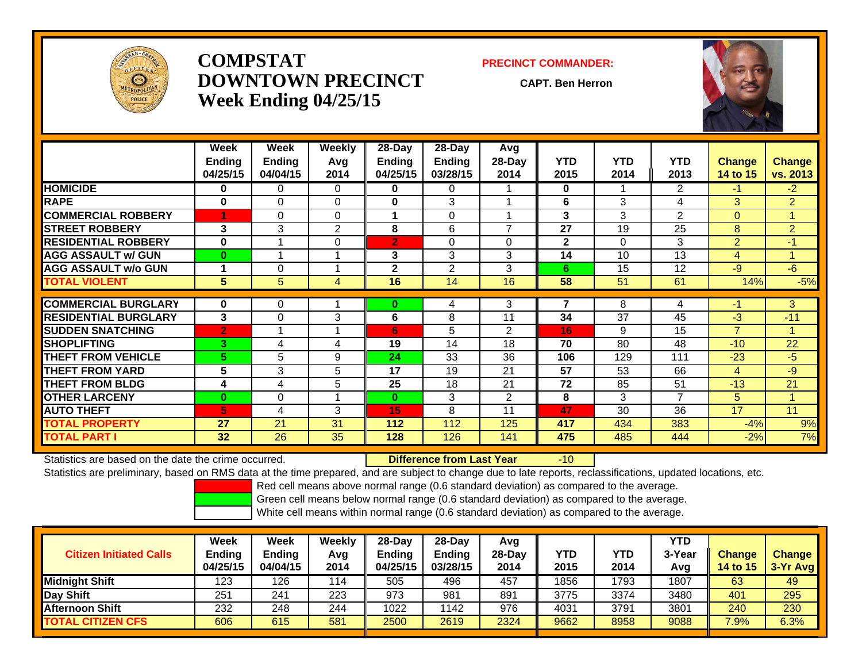

# **COMPSTATDOWNTOWN PRECINCTWeek Ending 04/25/15**

#### **PRECINCT COMMANDER:**

**CAPT. Ben Herron**

-10



|                             | Week<br><b>Ending</b><br>04/25/15 | Week<br><b>Ending</b><br>04/04/15 | <b>Weekly</b><br>Avq<br>2014 | 28-Day<br><b>Ending</b><br>04/25/15 | 28-Day<br>Ending<br>03/28/15 | Avg<br>28-Day<br>2014    | <b>YTD</b><br>2015 | <b>YTD</b><br>2014 | <b>YTD</b><br>2013 | <b>Change</b><br>14 to 15 | <b>Change</b><br>vs. 2013 |
|-----------------------------|-----------------------------------|-----------------------------------|------------------------------|-------------------------------------|------------------------------|--------------------------|--------------------|--------------------|--------------------|---------------------------|---------------------------|
| <b>HOMICIDE</b>             | 0                                 | 0                                 | $\Omega$                     | $\mathbf{0}$                        | 0                            |                          | $\mathbf{0}$       |                    | $\overline{2}$     | $-17$                     | $-2$                      |
| <b>RAPE</b>                 | 0                                 | 0                                 | $\Omega$                     | $\mathbf{0}$                        | 3                            |                          | 6                  | 3                  | 4                  | 3                         | $\overline{2}$            |
| <b>COMMERCIAL ROBBERY</b>   |                                   | 0                                 | $\Omega$                     | 1                                   | $\Omega$                     |                          | 3                  | 3                  | 2                  | $\Omega$                  | 4                         |
| <b>STREET ROBBERY</b>       | 3                                 | 3                                 | 2                            | 8                                   | 6                            | $\overline{\phantom{a}}$ | 27                 | 19                 | 25                 | 8                         | $\overline{2}$            |
| <b>RESIDENTIAL ROBBERY</b>  | 0                                 |                                   | $\Omega$                     | $\overline{2}$                      | $\Omega$                     | $\Omega$                 | $\mathbf{2}$       | 0                  | 3                  | $\overline{2}$            | $-1$                      |
| <b>AGG ASSAULT w/ GUN</b>   | $\bf{0}$                          | -4                                |                              | 3                                   | 3                            | 3                        | 14                 | 10                 | 13                 | 4                         | и                         |
| <b>AGG ASSAULT w/o GUN</b>  |                                   | 0                                 |                              | $\mathbf{2}$                        | 2                            | 3                        | 6.                 | 15                 | 12                 | $-9$                      | $-6$                      |
| <b>TOTAL VIOLENT</b>        | 5                                 | 5                                 | 4                            | 16                                  | 14                           | 16                       | 58                 | 51                 | 61                 | 14%                       | $-5%$                     |
|                             |                                   |                                   |                              |                                     |                              |                          |                    |                    |                    |                           |                           |
| <b>COMMERCIAL BURGLARY</b>  | $\bf{0}$                          | 0                                 |                              | $\bf{0}$                            | 4                            | 3                        | 7                  | 8                  | 4                  | -1                        | 3                         |
| <b>RESIDENTIAL BURGLARY</b> | 3                                 | 0                                 | 3                            | 6                                   | 8                            | 11                       | 34                 | 37                 | 45                 | $-3$                      | $-11$                     |
| <b>SUDDEN SNATCHING</b>     | $\overline{2}$                    | -4                                |                              | 6                                   | 5                            | $\overline{2}$           | 16                 | 9                  | 15                 | $\overline{7}$            |                           |
| <b>SHOPLIFTING</b>          | 3.                                | 4                                 | 4                            | 19                                  | 14                           | 18                       | 70                 | 80                 | 48                 | $-10$                     | 22                        |
| <b>THEFT FROM VEHICLE</b>   | 5.                                | 5                                 | 9                            | 24                                  | 33                           | 36                       | 106                | 129                | 111                | $-23$                     | -5                        |
| <b>THEFT FROM YARD</b>      | 5                                 | 3                                 | 5                            | 17                                  | 19                           | 21                       | 57                 | 53                 | 66                 | 4                         | $-9$                      |
| <b>THEFT FROM BLDG</b>      | 4                                 | 4                                 | 5                            | 25                                  | 18                           | 21                       | 72                 | 85                 | 51                 | $-13$                     | 21                        |
| <b>OTHER LARCENY</b>        | $\mathbf{0}$                      | $\Omega$                          |                              | $\bf{0}$                            | 3                            | $\overline{2}$           | 8                  | 3                  | 7                  | 5                         |                           |
| <b>AUTO THEFT</b>           | 5.                                | 4                                 | 3                            | 15                                  | 8                            | 11                       | 47                 | 30                 | 36                 | 17                        | 11                        |
| <b>TOTAL PROPERTY</b>       | 27                                | 21                                | 31                           | 112                                 | 112                          | 125                      | 417                | 434                | 383                | $-4%$                     | 9%                        |
| <b>TOTAL PART I</b>         | 32                                | $\overline{26}$                   | 35                           | 128                                 | 126                          | 141                      | 475                | 485                | 444                | $-2%$                     | 7%                        |

Statistics are based on the date the crime occurred. **Difference from Last Year** 

Statistics are preliminary, based on RMS data at the time prepared, and are subject to change due to late reports, reclassifications, updated locations, etc.

Red cell means above normal range (0.6 standard deviation) as compared to the average.

Green cell means below normal range (0.6 standard deviation) as compared to the average.

| <b>Citizen Initiated Calls</b> | Week<br><b>Ending</b><br>04/25/15 | Week<br><b>Ending</b><br>04/04/15 | Weekly<br>Avg<br>2014 | $28$ -Day<br>Endina<br>04/25/15 | $28-Day$<br><b>Ending</b><br>03/28/15 | Avg<br>$28$ -Day<br>2014 | YTD<br>2015 | YTD<br>2014 | YTD<br>3-Year<br>Avg | <b>Change</b><br><b>14 to 15</b> | <b>Change</b><br>$3-Yr$ Avg |
|--------------------------------|-----------------------------------|-----------------------------------|-----------------------|---------------------------------|---------------------------------------|--------------------------|-------------|-------------|----------------------|----------------------------------|-----------------------------|
| <b>Midnight Shift</b>          | 123                               | 126                               | 114                   | 505                             | 496                                   | 457                      | 1856        | 1793        | 1807                 | 63                               | 49                          |
| <b>Day Shift</b>               | 251                               | 241                               | 223                   | 973                             | 981                                   | 891                      | 3775        | 3374        | 3480                 | 401                              | 295                         |
| IAfternoon Shift               | 232                               | 248                               | 244                   | 1022                            | 1142                                  | 976                      | 4031        | 3791        | 3801                 | 240                              | 230                         |
| <b>TOTAL CITIZEN CFS</b>       | 606                               | 615                               | 581                   | 2500                            | 2619                                  | 2324                     | 9662        | 8958        | 9088                 | $7.9\%$                          | 6.3%                        |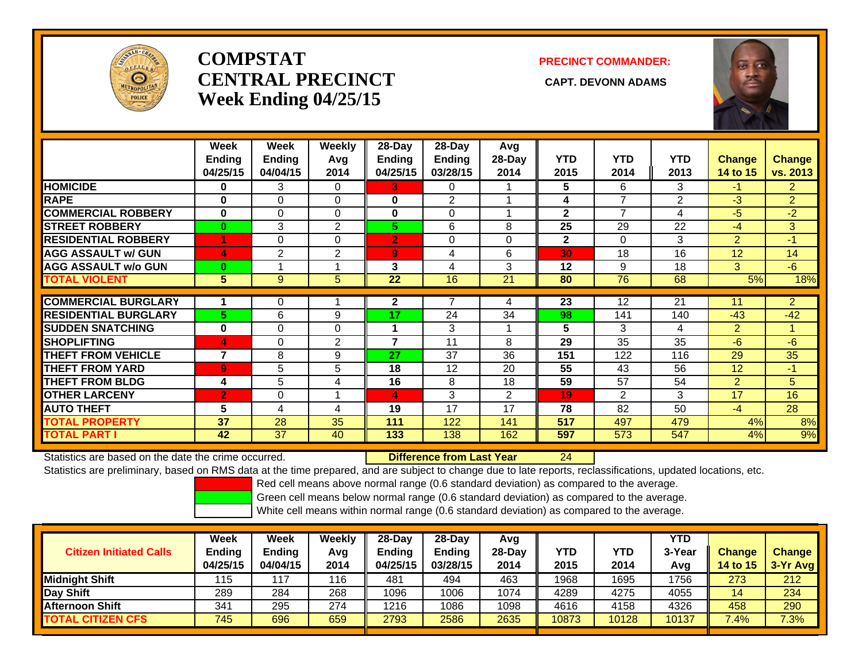

# **COMPSTATCENTRAL PRECINCT CAPT. DEVONN ADAMSWeek Ending 04/25/15**

### **PRECINCT COMMANDER:**



|                             | Week<br>Ending<br>04/25/15 | Week<br><b>Ending</b><br>04/04/15 | Weekly<br>Avg<br>2014 | $28$ -Day<br><b>Ending</b><br>04/25/15 | $28$ -Day<br><b>Ending</b><br>03/28/15 | Avg<br>28-Day<br>2014 | <b>YTD</b><br>2015 | <b>YTD</b><br>2014 | <b>YTD</b><br>2013 | Change<br>14 to 15 | <b>Change</b><br>vs. 2013 |
|-----------------------------|----------------------------|-----------------------------------|-----------------------|----------------------------------------|----------------------------------------|-----------------------|--------------------|--------------------|--------------------|--------------------|---------------------------|
| <b>HOMICIDE</b>             | $\bf{0}$                   | 3                                 | $\Omega$              | 3                                      | 0                                      |                       | 5                  | 6                  | 3                  | $-1$               | $\overline{2}$            |
| <b>RAPE</b>                 | $\bf{0}$                   | $\Omega$                          | $\Omega$              | 0                                      | $\mathfrak{p}$                         |                       | 4                  | 7                  | 2                  | -3                 | $\overline{2}$            |
| <b>COMMERCIAL ROBBERY</b>   | $\bf{0}$                   | 0                                 | 0                     | 0                                      | $\Omega$                               |                       | $\mathbf{2}$       | 7                  | 4                  | -5                 | $-2$                      |
| <b>STREET ROBBERY</b>       | $\mathbf{0}$               | 3                                 | $\overline{2}$        | 5                                      | 6                                      | 8                     | 25                 | 29                 | 22                 | $-4$               | 3                         |
| <b>RESIDENTIAL ROBBERY</b>  |                            | $\Omega$                          | $\Omega$              | $\overline{2}$                         | $\Omega$                               | 0                     | $\overline{2}$     | 0                  | 3                  | $\overline{2}$     | $-1$                      |
| <b>AGG ASSAULT w/ GUN</b>   | 4                          | 2                                 | 2                     | 9                                      | 4                                      | 6                     | 30                 | 18                 | 16                 | 12                 | 14                        |
| <b>AGG ASSAULT w/o GUN</b>  | $\bf{0}$                   |                                   |                       | 3                                      | 4                                      | 3                     | 12                 | 9                  | 18                 | 3                  | $-6$                      |
| <b>TOTAL VIOLENT</b>        | 5                          | 9                                 | 5                     | 22                                     | 16                                     | 21                    | 80                 | 76                 | 68                 | 5%                 | 18%                       |
|                             |                            |                                   |                       |                                        |                                        |                       |                    |                    |                    |                    |                           |
| <b>COMMERCIAL BURGLARY</b>  |                            | 0                                 |                       | $\mathbf{2}$                           |                                        | 4                     | 23                 | 12                 | 21                 | 11                 | $\overline{2}$            |
| <b>RESIDENTIAL BURGLARY</b> | 5.                         | 6                                 | 9                     | 17                                     | 24                                     | 34                    | 98                 | 141                | 140                | $-43$              | $-42$                     |
| <b>SUDDEN SNATCHING</b>     | $\bf{0}$                   | $\Omega$                          | $\Omega$              | 1                                      | 3                                      |                       | 5                  | 3                  | 4                  | $\overline{2}$     |                           |
| <b>SHOPLIFTING</b>          | 4                          | $\Omega$                          | 2                     | $\overline{7}$                         | 11                                     | 8                     | 29                 | 35                 | 35                 | -6                 | $-6$                      |
| <b>THEFT FROM VEHICLE</b>   | $\overline{\phantom{a}}$   | 8                                 | 9                     | 27                                     | 37                                     | 36                    | 151                | 122                | 116                | 29                 | 35                        |
| <b>THEFT FROM YARD</b>      | $\overline{9}$             | 5                                 | 5                     | 18                                     | 12                                     | 20                    | 55                 | 43                 | 56                 | 12                 | $-1$                      |
| <b>THEFT FROM BLDG</b>      | 4                          | 5                                 | 4                     | 16                                     | 8                                      | 18                    | 59                 | 57                 | 54                 | $\overline{2}$     | 5                         |
| <b>OTHER LARCENY</b>        | $\overline{2}$             | $\Omega$                          |                       | 4                                      | 3                                      | $\overline{2}$        | 19                 | $\overline{2}$     | 3                  | 17                 | 16                        |
| <b>AUTO THEFT</b>           | 5                          | 4                                 | 4                     | 19                                     | 17                                     | 17                    | 78                 | 82                 | 50                 | $-4$               | 28                        |
| <b>TOTAL PROPERTY</b>       | 37                         | 28                                | 35                    | 111                                    | 122                                    | 141                   | 517                | 497                | 479                | 4%                 | 8%                        |
| <b>TOTAL PART I</b>         | 42                         | 37                                | 40                    | 133                                    | 138                                    | 162                   | 597                | 573                | 547                | 4%                 | 9%                        |

Statistics are based on the date the crime occurred. **Difference from Last Year** 

24

Statistics are preliminary, based on RMS data at the time prepared, and are subject to change due to late reports, reclassifications, updated locations, etc.

Red cell means above normal range (0.6 standard deviation) as compared to the average.

Green cell means below normal range (0.6 standard deviation) as compared to the average.

| <b>Citizen Initiated Calls</b> | Week<br>Ending<br>04/25/15 | <b>Week</b><br>Ending<br>04/04/15 | Weekly<br>Avg<br>2014 | $28$ -Dav<br>Endina<br>04/25/15 | $28-Day$<br>Ending<br>03/28/15 | Avg<br>$28-Dav$<br>2014 | YTD<br>2015 | YTD<br>2014 | <b>YTD</b><br>3-Year<br>Avg | <b>Change</b><br>14 to 15 | <b>Change</b><br>3-Yr Avg |
|--------------------------------|----------------------------|-----------------------------------|-----------------------|---------------------------------|--------------------------------|-------------------------|-------------|-------------|-----------------------------|---------------------------|---------------------------|
| Midnight Shift                 | 115                        | 117                               | 116                   | 481                             | 494                            | 463                     | 1968        | 1695        | 1756                        | 273                       | 212                       |
| Day Shift                      | 289                        | 284                               | 268                   | 1096                            | 1006                           | 1074                    | 4289        | 4275        | 4055                        | 14                        | 234                       |
| <b>Afternoon Shift</b>         | 341                        | 295                               | 274                   | 1216                            | 1086                           | 1098                    | 4616        | 4158        | 4326                        | 458                       | 290                       |
| <b>TOTAL CITIZEN CFS</b>       | 745                        | 696                               | 659                   | 2793                            | 2586                           | 2635                    | 10873       | 10128       | 10137                       | 7.4%                      | 7.3%                      |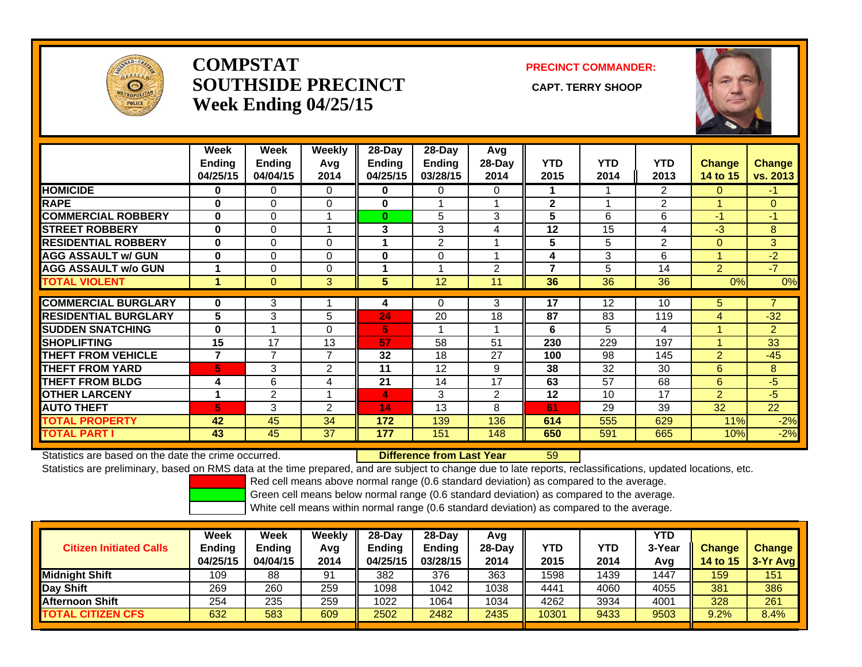

# **COMPSTATSOUTHSIDE PRECINCT** CAPT. TERRY SHOOP **Week Ending 04/25/15**

**PRECINCT COMMANDER:**



|                             | Week<br>Ending<br>04/25/15 | Week<br><b>Ending</b><br>04/04/15 | Weekly<br>Avg<br>2014 | $28$ -Day<br><b>Endina</b><br>04/25/15 | $28$ -Day<br>Ending<br>03/28/15 | Avg<br>28-Day<br>2014 | <b>YTD</b><br>2015 | <b>YTD</b><br>2014 | <b>YTD</b><br>2013 | <b>Change</b><br>14 to 15 | <b>Change</b><br>vs. 2013 |
|-----------------------------|----------------------------|-----------------------------------|-----------------------|----------------------------------------|---------------------------------|-----------------------|--------------------|--------------------|--------------------|---------------------------|---------------------------|
| <b>HOMICIDE</b>             | 0                          | 0                                 | $\Omega$              | 0                                      | $\Omega$                        | 0                     | 1.                 |                    | 2                  | 0                         | -1                        |
| <b>RAPE</b>                 | $\bf{0}$                   | $\Omega$                          | $\Omega$              | $\mathbf 0$                            |                                 |                       | $\mathbf{2}$       | $\overline{ }$     | $\overline{2}$     |                           | $\overline{0}$            |
| <b>COMMERCIAL ROBBERY</b>   | $\bf{0}$                   | $\Omega$                          |                       | $\bf{0}$                               | 5                               | 3                     | 5                  | 6                  | 6                  | $-1$                      | -1                        |
| <b>STREET ROBBERY</b>       | $\bf{0}$                   | $\Omega$                          |                       | 3                                      | 3                               | 4                     | 12                 | 15                 | 4                  | $-3$                      | 8                         |
| <b>RESIDENTIAL ROBBERY</b>  | $\mathbf{0}$               | $\Omega$                          | $\Omega$              | 4                                      | 2                               |                       | 5                  | 5                  | $\overline{2}$     | $\Omega$                  | 3                         |
| <b>AGG ASSAULT w/ GUN</b>   | $\bf{0}$                   | $\Omega$                          | $\Omega$              | $\bf{0}$                               | 0                               |                       | 4                  | 3                  | 6                  |                           | $-2$                      |
| <b>AGG ASSAULT w/o GUN</b>  |                            | $\Omega$                          | $\Omega$              | 1                                      |                                 | $\overline{2}$        | 7                  | 5                  | 14                 | $\overline{2}$            | $-7$                      |
| <b>TOTAL VIOLENT</b>        | 4                          | $\Omega$                          | 3                     | 5                                      | 12                              | 11                    | 36                 | 36                 | 36                 | 0%                        | 0%                        |
|                             |                            |                                   |                       |                                        |                                 |                       |                    |                    |                    |                           |                           |
| <b>COMMERCIAL BURGLARY</b>  | $\bf{0}$                   | 3                                 |                       | 4                                      | 0                               | 3                     | 17                 | 12                 | 10                 | 5.                        | $\overline{7}$            |
| <b>RESIDENTIAL BURGLARY</b> | 5                          | 3                                 | 5                     | 24                                     | 20                              | 18                    | 87                 | 83                 | 119                | 4                         | $-32$                     |
| <b>SUDDEN SNATCHING</b>     | $\bf{0}$                   |                                   | $\Omega$              | 5                                      |                                 |                       | 6                  | 5                  | 4                  |                           | $\overline{2}$            |
| <b>SHOPLIFTING</b>          | 15                         | 17                                | 13                    | 57                                     | 58                              | 51                    | 230                | 229                | 197                |                           | 33                        |
| <b>THEFT FROM VEHICLE</b>   | 7                          | $\overline{7}$                    | $\overline{7}$        | 32                                     | 18                              | 27                    | 100                | 98                 | 145                | $\overline{2}$            | $-45$                     |
| <b>THEFT FROM YARD</b>      | 5                          | 3                                 | 2                     | 11                                     | 12                              | 9                     | 38                 | 32                 | 30                 | 6                         | 8                         |
| <b>THEFT FROM BLDG</b>      | 4                          | 6                                 | 4                     | 21                                     | 14                              | 17                    | 63                 | 57                 | 68                 | 6                         | $-5$                      |
| <b>OTHER LARCENY</b>        | 1                          | 2                                 |                       | 4                                      | 3                               | 2                     | 12                 | 10                 | 17                 | $\overline{2}$            | $-5$                      |
| <b>AUTO THEFT</b>           | 5.                         | 3                                 | 2                     | 14                                     | 13                              | 8                     | 61                 | 29                 | 39                 | 32                        | 22                        |
| <b>TOTAL PROPERTY</b>       | 42                         | 45                                | 34                    | 172                                    | 139                             | 136                   | 614                | 555                | 629                | 11%                       | $-2%$                     |
| <b>TOTAL PART I</b>         | 43                         | 45                                | 37                    | 177                                    | 151                             | 148                   | 650                | 591                | 665                | 10%                       | $-2%$                     |

Statistics are based on the date the crime occurred. **Difference from Last Year** 

### r 59

Statistics are preliminary, based on RMS data at the time prepared, and are subject to change due to late reports, reclassifications, updated locations, etc.

Red cell means above normal range (0.6 standard deviation) as compared to the average.

Green cell means below normal range (0.6 standard deviation) as compared to the average.

| <b>Citizen Initiated Calls</b> | Week<br><b>Ending</b><br>04/25/15 | Week<br>Ending<br>04/04/15 | Weekly<br>Avg<br>2014 | $28-Dav$<br>Ending<br>04/25/15 | $28$ -Dav<br><b>Ending</b><br>03/28/15 | Avg<br>$28-Dav$<br>2014 | YTD<br>2015 | YTD<br>2014 | YTD<br>3-Year<br>Avg | <b>Change</b><br><b>14 to 15</b> | <b>Change</b><br>3-Yr Avg |
|--------------------------------|-----------------------------------|----------------------------|-----------------------|--------------------------------|----------------------------------------|-------------------------|-------------|-------------|----------------------|----------------------------------|---------------------------|
| <b>I</b> Midniaht Shift        | 109                               | 88                         | 91                    | 382                            | 376                                    | 363                     | 1598        | 1439        | 1447                 | 159                              | 151                       |
| Day Shift                      | 269                               | 260                        | 259                   | 1098                           | 1042                                   | 1038                    | 4441        | 4060        | 4055                 | 381                              | 386                       |
| <b>Afternoon Shift</b>         | 254                               | 235                        | 259                   | 1022                           | 1064                                   | 1034                    | 4262        | 3934        | 4001                 | 328                              | 261                       |
| <b>TOTAL CITIZEN CFS</b>       | 632                               | 583                        | 609                   | 2502                           | 2482                                   | 2435                    | 10301       | 9433        | 9503                 | 9.2%                             | 8.4%                      |